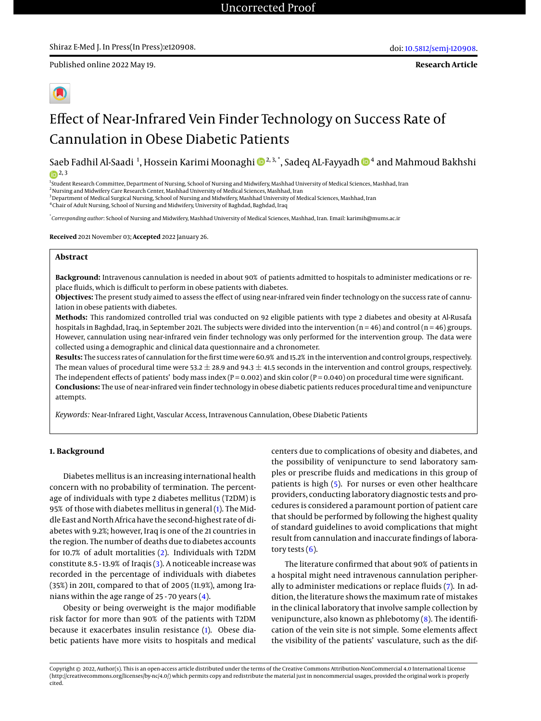Published online 2022 May 19.



# Effect of Near-Infrared Vein Finder Technology on Success Rate of Cannulation in Obese Diabetic Patients

Saeb Fadhil Al-Saadi <sup>1</sup>, Hossein Karimi Moonaghi ®<sup>2,3,\*</sup>, Sadeq AL-Fayyadh ®<sup>4</sup> and Mahmoud Bakhshi  $(p<sup>2</sup>, 3)$ 

<sup>1</sup>Student Research Committee, Department of Nursing, School of Nursing and Midwifery, Mashhad University of Medical Sciences, Mashhad, Iran

<sup>2</sup>Nursing and Midwifery Care Research Center, Mashhad University of Medical Sciences, Mashhad, Iran

<sup>3</sup> Department of Medical Surgical Nursing, School of Nursing and Midwifery, Mashhad University of Medical Sciences, Mashhad, Iran

<sup>4</sup> Chair of Adult Nursing, School of Nursing and Midwifery, University of Baghdad, Baghdad, Iraq

\* *Corresponding author*: School of Nursing and Midwifery, Mashhad University of Medical Sciences, Mashhad, Iran. Email: karimih@mums.ac.ir

**Received** 2021 November 03; **Accepted** 2022 January 26.

#### **Abstract**

**Background:** Intravenous cannulation is needed in about 90% of patients admitted to hospitals to administer medications or replace fluids, which is difficult to perform in obese patients with diabetes.

**Objectives:** The present study aimed to assess the effect of using near-infrared vein finder technology on the success rate of cannulation in obese patients with diabetes.

**Methods:** This randomized controlled trial was conducted on 92 eligible patients with type 2 diabetes and obesity at Al-Rusafa hospitals in Baghdad, Iraq, in September 2021. The subjects were divided into the intervention  $(n = 46)$  and control  $(n = 46)$  groups. However, cannulation using near-infrared vein finder technology was only performed for the intervention group. The data were collected using a demographic and clinical data questionnaire and a chronometer.

**Results:** The success rates of cannulation for the first time were 60.9% and 15.2% in the intervention and control groups, respectively. The mean values of procedural time were 53.2  $\pm$  28.9 and 94.3  $\pm$  41.5 seconds in the intervention and control groups, respectively. The independent effects of patients' body mass index ( $P = 0.002$ ) and skin color ( $P = 0.040$ ) on procedural time were significant. **Conclusions:** The use of near-infrared vein finder technology in obese diabetic patients reduces procedural time and venipuncture attempts.

*Keywords:* Near-Infrared Light, Vascular Access, Intravenous Cannulation, Obese Diabetic Patients

# **1. Background**

Diabetes mellitus is an increasing international health concern with no probability of termination. The percentage of individuals with type 2 diabetes mellitus (T2DM) is 95% of those with diabetes mellitus in general [\(1\)](#page-4-0). The Middle East and North Africa have the second-highest rate of diabetes with 9.2%; however, Iraq is one of the 21 countries in the region. The number of deaths due to diabetes accounts for 10.7% of adult mortalities [\(2\)](#page-4-1). Individuals with T2DM constitute 8.5 - 13.9% of Iraqis [\(3\)](#page-4-2). A noticeable increase was recorded in the percentage of individuals with diabetes (35%) in 2011, compared to that of 2005 (11.9%), among Iranians within the age range of 25 - 70 years [\(4\)](#page-4-3).

Obesity or being overweight is the major modifiable risk factor for more than 90% of the patients with T2DM because it exacerbates insulin resistance [\(1\)](#page-4-0). Obese diabetic patients have more visits to hospitals and medical

centers due to complications of obesity and diabetes, and the possibility of venipuncture to send laboratory samples or prescribe fluids and medications in this group of patients is high [\(5\)](#page-4-4). For nurses or even other healthcare providers, conducting laboratory diagnostic tests and procedures is considered a paramount portion of patient care that should be performed by following the highest quality of standard guidelines to avoid complications that might result from cannulation and inaccurate findings of laboratory tests  $(6)$ .

The literature confirmed that about 90% of patients in a hospital might need intravenous cannulation peripherally to administer medications or replace fluids [\(7\)](#page-4-6). In addition, the literature shows the maximum rate of mistakes in the clinical laboratory that involve sample collection by venipuncture, also known as phlebotomy  $(8)$ . The identification of the vein site is not simple. Some elements affect the visibility of the patients' vasculature, such as the dif-

Copyright © 2022, Author(s). This is an open-access article distributed under the terms of the Creative Commons Attribution-NonCommercial 4.0 International License (http://creativecommons.org/licenses/by-nc/4.0/) which permits copy and redistribute the material just in noncommercial usages, provided the original work is properly cited.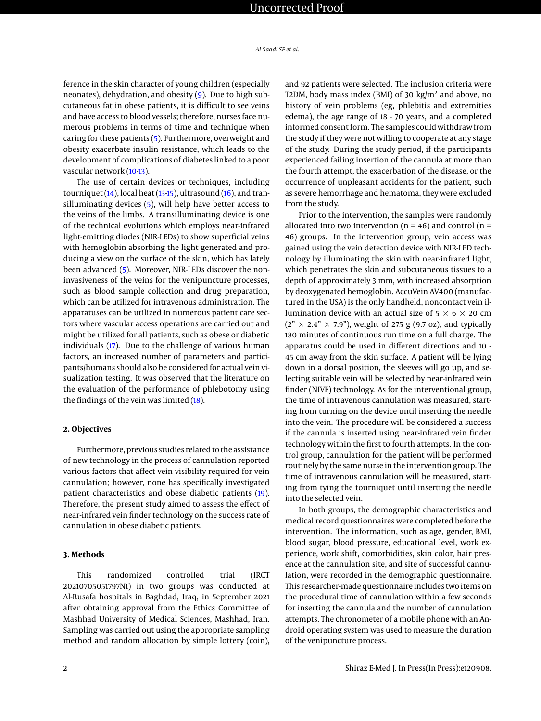ference in the skin character of young children (especially neonates), dehydration, and obesity [\(9\)](#page-4-8). Due to high subcutaneous fat in obese patients, it is difficult to see veins and have access to blood vessels; therefore, nurses face numerous problems in terms of time and technique when caring for these patients [\(5\)](#page-4-4). Furthermore, overweight and obesity exacerbate insulin resistance, which leads to the development of complications of diabetes linked to a poor vascular network [\(10-](#page-4-9)[13\)](#page-5-0).

The use of certain devices or techniques, including tourniquet  $(14)$ , local heat  $(13-15)$  $(13-15)$ , ultrasound  $(16)$ , and transilluminating devices [\(5\)](#page-4-4), will help have better access to the veins of the limbs. A transilluminating device is one of the technical evolutions which employs near-infrared light-emitting diodes (NIR-LEDs) to show superficial veins with hemoglobin absorbing the light generated and producing a view on the surface of the skin, which has lately been advanced [\(5\)](#page-4-4). Moreover, NIR-LEDs discover the noninvasiveness of the veins for the venipuncture processes, such as blood sample collection and drug preparation, which can be utilized for intravenous administration. The apparatuses can be utilized in numerous patient care sectors where vascular access operations are carried out and might be utilized for all patients, such as obese or diabetic individuals [\(17\)](#page-5-4). Due to the challenge of various human factors, an increased number of parameters and participants/humans should also be considered for actual vein visualization testing. It was observed that the literature on the evaluation of the performance of phlebotomy using the findings of the vein was limited [\(18\)](#page-5-5).

#### **2. Objectives**

Furthermore, previous studies related to the assistance of new technology in the process of cannulation reported various factors that affect vein visibility required for vein cannulation; however, none has specifically investigated patient characteristics and obese diabetic patients [\(19\)](#page-5-6). Therefore, the present study aimed to assess the effect of near-infrared vein finder technology on the success rate of cannulation in obese diabetic patients.

#### **3. Methods**

This randomized controlled trial (IRCT 20210705051797N1) in two groups was conducted at Al-Rusafa hospitals in Baghdad, Iraq, in September 2021 after obtaining approval from the Ethics Committee of Mashhad University of Medical Sciences, Mashhad, Iran. Sampling was carried out using the appropriate sampling method and random allocation by simple lottery (coin),

and 92 patients were selected. The inclusion criteria were T2DM, body mass index (BMI) of 30 kg/m<sup>2</sup> and above, no history of vein problems (eg, phlebitis and extremities edema), the age range of 18 - 70 years, and a completed informed consent form. The samples could withdraw from the study if they were not willing to cooperate at any stage of the study. During the study period, if the participants experienced failing insertion of the cannula at more than the fourth attempt, the exacerbation of the disease, or the occurrence of unpleasant accidents for the patient, such as severe hemorrhage and hematoma, they were excluded from the study.

Prior to the intervention, the samples were randomly allocated into two intervention ( $n = 46$ ) and control ( $n =$ 46) groups. In the intervention group, vein access was gained using the vein detection device with NIR-LED technology by illuminating the skin with near-infrared light, which penetrates the skin and subcutaneous tissues to a depth of approximately 3 mm, with increased absorption by deoxygenated hemoglobin. AccuVein AV400 (manufactured in the USA) is the only handheld, noncontact vein illumination device with an actual size of  $5 \times 6 \times 20$  cm  $(2" \times 2.4" \times 7.9")$ , weight of 275 g (9.7 oz), and typically 180 minutes of continuous run time on a full charge. The apparatus could be used in different directions and 10 - 45 cm away from the skin surface. A patient will be lying down in a dorsal position, the sleeves will go up, and selecting suitable vein will be selected by near-infrared vein finder (NIVF) technology. As for the interventional group, the time of intravenous cannulation was measured, starting from turning on the device until inserting the needle into the vein. The procedure will be considered a success if the cannula is inserted using near-infrared vein finder technology within the first to fourth attempts. In the control group, cannulation for the patient will be performed routinely by the same nurse in the intervention group. The time of intravenous cannulation will be measured, starting from tying the tourniquet until inserting the needle into the selected vein.

In both groups, the demographic characteristics and medical record questionnaires were completed before the intervention. The information, such as age, gender, BMI, blood sugar, blood pressure, educational level, work experience, work shift, comorbidities, skin color, hair presence at the cannulation site, and site of successful cannulation, were recorded in the demographic questionnaire. This researcher-made questionnaire includes two items on the procedural time of cannulation within a few seconds for inserting the cannula and the number of cannulation attempts. The chronometer of a mobile phone with an Android operating system was used to measure the duration of the venipuncture process.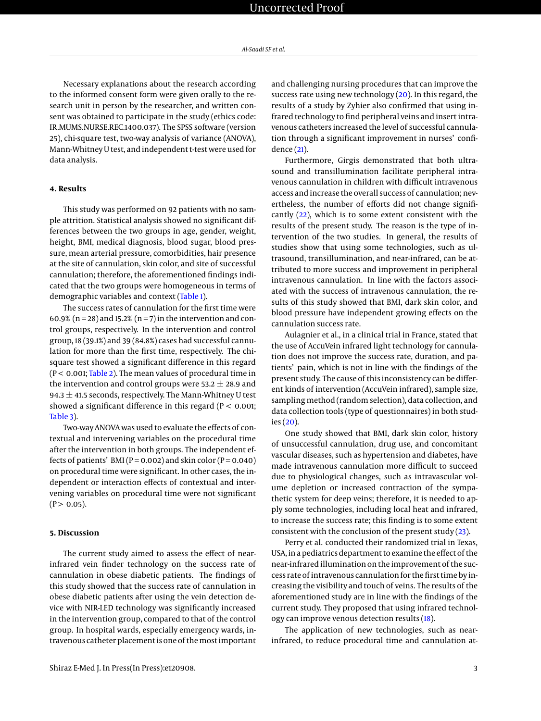Necessary explanations about the research according to the informed consent form were given orally to the research unit in person by the researcher, and written consent was obtained to participate in the study (ethics code: IR.MUMS.NURSE.REC.1400.037). The SPSS software (version 25), chi-square test, two-way analysis of variance (ANOVA), Mann-Whitney U test, and independent t-test were used for data analysis.

# **4. Results**

This study was performed on 92 patients with no sample attrition. Statistical analysis showed no significant differences between the two groups in age, gender, weight, height, BMI, medical diagnosis, blood sugar, blood pressure, mean arterial pressure, comorbidities, hair presence at the site of cannulation, skin color, and site of successful cannulation; therefore, the aforementioned findings indicated that the two groups were homogeneous in terms of demographic variables and context [\(Table 1\)](#page-3-0).

The success rates of cannulation for the first time were 60.9% ( $n = 28$ ) and 15.2% ( $n = 7$ ) in the intervention and control groups, respectively. In the intervention and control group, 18 (39.1%) and 39 (84.8%) cases had successful cannulation for more than the first time, respectively. The chisquare test showed a significant difference in this regard  $(P < 0.001$ ; [Table 2\)](#page-3-1). The mean values of procedural time in the intervention and control groups were  $53.2 \pm 28.9$  and 94.3  $\pm$  41.5 seconds, respectively. The Mann-Whitney U test showed a significant difference in this regard ( $P < 0.001$ ; [Table 3\)](#page-4-10).

Two-way ANOVA was used to evaluate the effects of contextual and intervening variables on the procedural time after the intervention in both groups. The independent effects of patients' BMI ( $P = 0.002$ ) and skin color ( $P = 0.040$ ) on procedural time were significant. In other cases, the independent or interaction effects of contextual and intervening variables on procedural time were not significant  $(P > 0.05)$ .

#### **5. Discussion**

The current study aimed to assess the effect of nearinfrared vein finder technology on the success rate of cannulation in obese diabetic patients. The findings of this study showed that the success rate of cannulation in obese diabetic patients after using the vein detection device with NIR-LED technology was significantly increased in the intervention group, compared to that of the control group. In hospital wards, especially emergency wards, intravenous catheter placement is one of themost important

and challenging nursing procedures that can improve the success rate using new technology [\(20\)](#page-5-7). In this regard, the results of a study by Zyhier also confirmed that using infrared technology to find peripheral veins and insert intravenous catheters increased the level of successful cannulation through a significant improvement in nurses' confidence [\(21\)](#page-5-8).

Furthermore, Girgis demonstrated that both ultrasound and transillumination facilitate peripheral intravenous cannulation in children with difficult intravenous access and increase the overall success of cannulation; nevertheless, the number of efforts did not change significantly [\(22\)](#page-5-9), which is to some extent consistent with the results of the present study. The reason is the type of intervention of the two studies. In general, the results of studies show that using some technologies, such as ultrasound, transillumination, and near-infrared, can be attributed to more success and improvement in peripheral intravenous cannulation. In line with the factors associated with the success of intravenous cannulation, the results of this study showed that BMI, dark skin color, and blood pressure have independent growing effects on the cannulation success rate.

Aulagnier et al., in a clinical trial in France, stated that the use of AccuVein infrared light technology for cannulation does not improve the success rate, duration, and patients' pain, which is not in line with the findings of the present study. The cause of this inconsistency can be different kinds of intervention (AccuVein infrared), sample size, sampling method (random selection), data collection, and data collection tools (type of questionnaires) in both studies [\(20\)](#page-5-7).

One study showed that BMI, dark skin color, history of unsuccessful cannulation, drug use, and concomitant vascular diseases, such as hypertension and diabetes, have made intravenous cannulation more difficult to succeed due to physiological changes, such as intravascular volume depletion or increased contraction of the sympathetic system for deep veins; therefore, it is needed to apply some technologies, including local heat and infrared, to increase the success rate; this finding is to some extent consistent with the conclusion of the present study [\(23\)](#page-5-10).

Perry et al. conducted their randomized trial in Texas, USA, in a pediatrics department to examine the effect of the near-infrared illumination on the improvement of the success rate of intravenous cannulation for the first time by increasing the visibility and touch of veins. The results of the aforementioned study are in line with the findings of the current study. They proposed that using infrared technology can improve venous detection results [\(18\)](#page-5-5).

The application of new technologies, such as nearinfrared, to reduce procedural time and cannulation at-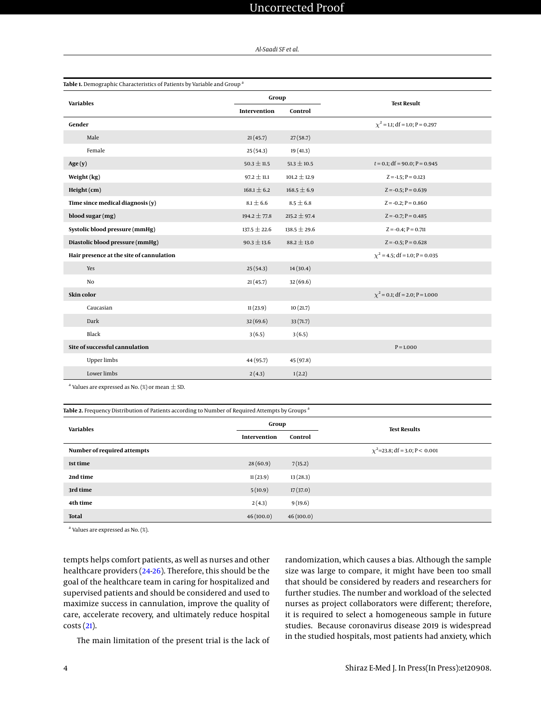# Uncorrected Proof

*Al-Saadi SF et al.*

<span id="page-3-0"></span>

| Table 1. Demographic Characteristics of Patients by Variable and Group <sup>a</sup> |                  |                  |                                     |  |  |  |  |
|-------------------------------------------------------------------------------------|------------------|------------------|-------------------------------------|--|--|--|--|
| <b>Variables</b>                                                                    | Group            |                  | <b>Test Result</b>                  |  |  |  |  |
|                                                                                     | Intervention     | Control          |                                     |  |  |  |  |
| Gender                                                                              |                  |                  | $\chi^2$ = 1.1; df = 1.0; P = 0.297 |  |  |  |  |
| Male                                                                                | 21(45.7)         | 27(58.7)         |                                     |  |  |  |  |
| Female                                                                              | 25(54.3)         | 19(41.3)         |                                     |  |  |  |  |
| Age(y)                                                                              | $50.3 \pm 11.5$  | $51.3 \pm 10.5$  | $t = 0.1$ ; df = 90.0; P = 0.945    |  |  |  |  |
| Weight (kg)                                                                         | $97.2 \pm 11.1$  | $101.2 \pm 12.9$ | $Z = -1.5$ ; P = 0.123              |  |  |  |  |
| Height (cm)                                                                         | $168.1 \pm 6.2$  | $168.5 \pm 6.9$  | $Z = -0.5; P = 0.639$               |  |  |  |  |
| Time since medical diagnosis $(y)$                                                  | $8.1 \pm 6.6$    | $8.5 \pm 6.8$    | $Z = -0.2; P = 0.860$               |  |  |  |  |
| blood sugar (mg)                                                                    | $194.2 \pm 77.8$ | 215.2 $\pm$ 97.4 | $Z = -0.7; P = 0.485$               |  |  |  |  |
| Systolic blood pressure (mmHg)                                                      | $137.5 \pm 22.6$ | $138.5 \pm 29.6$ | $Z = -0.4; P = 0.711$               |  |  |  |  |
| Diastolic blood pressure (mmHg)                                                     | $90.3 \pm 13.6$  | $88.2 \pm 13.0$  | $Z = -0.5; P = 0.628$               |  |  |  |  |
| Hair presence at the site of cannulation                                            |                  |                  | $\chi^2$ = 4.5; df = 1.0; P = 0.035 |  |  |  |  |
| Yes                                                                                 | 25(54.3)         | 14(30.4)         |                                     |  |  |  |  |
| No.                                                                                 | 21(45.7)         | 32(69.6)         |                                     |  |  |  |  |
| Skin color                                                                          |                  |                  | $\chi^2$ = 0.1; df = 2.0; P = 1.000 |  |  |  |  |
| Caucasian                                                                           | 11(23.9)         | 10(21.7)         |                                     |  |  |  |  |
| Dark                                                                                | 32(69.6)         | 33(71.7)         |                                     |  |  |  |  |
| Black                                                                               | 3(6.5)           | 3(6.5)           |                                     |  |  |  |  |
| Site of successful cannulation                                                      |                  |                  | $P = 1.000$                         |  |  |  |  |
| <b>Upper limbs</b>                                                                  | 44 (95.7)        | 45 (97.8)        |                                     |  |  |  |  |
| Lower limbs                                                                         | 2(4.3)           | 1(2.2)           |                                     |  |  |  |  |

<sup>a</sup> Values are expressed as No. (%) or mean  $\pm$  SD.

<span id="page-3-1"></span>

| Table 2. Frequency Distribution of Patients according to Number of Required Attempts by Groups <sup>a</sup> |              |           |                                     |  |  |  |
|-------------------------------------------------------------------------------------------------------------|--------------|-----------|-------------------------------------|--|--|--|
| <b>Variables</b>                                                                                            | Group        |           | <b>Test Results</b>                 |  |  |  |
|                                                                                                             | Intervention | Control   |                                     |  |  |  |
| Number of required attempts                                                                                 |              |           | $\chi^2$ =23.8; df = 3.0; P < 0.001 |  |  |  |
| 1st time                                                                                                    | 28(60.9)     | 7(15.2)   |                                     |  |  |  |
| 2nd time                                                                                                    | 11(23.9)     | 13(28.3)  |                                     |  |  |  |
| 3rd time                                                                                                    | 5(10.9)      | 17(37.0)  |                                     |  |  |  |
| 4th time                                                                                                    | 2(4.3)       | 9(19.6)   |                                     |  |  |  |
| <b>Total</b>                                                                                                | 46(100.0)    | 46(100.0) |                                     |  |  |  |

<sup>a</sup> Values are expressed as No. (%).

tempts helps comfort patients, as well as nurses and other healthcare providers [\(24](#page-5-11)[-26\)](#page-5-12). Therefore, this should be the goal of the healthcare team in caring for hospitalized and supervised patients and should be considered and used to maximize success in cannulation, improve the quality of care, accelerate recovery, and ultimately reduce hospital costs [\(21\)](#page-5-8).

The main limitation of the present trial is the lack of

randomization, which causes a bias. Although the sample size was large to compare, it might have been too small that should be considered by readers and researchers for further studies. The number and workload of the selected nurses as project collaborators were different; therefore, it is required to select a homogeneous sample in future studies. Because coronavirus disease 2019 is widespread in the studied hospitals, most patients had anxiety, which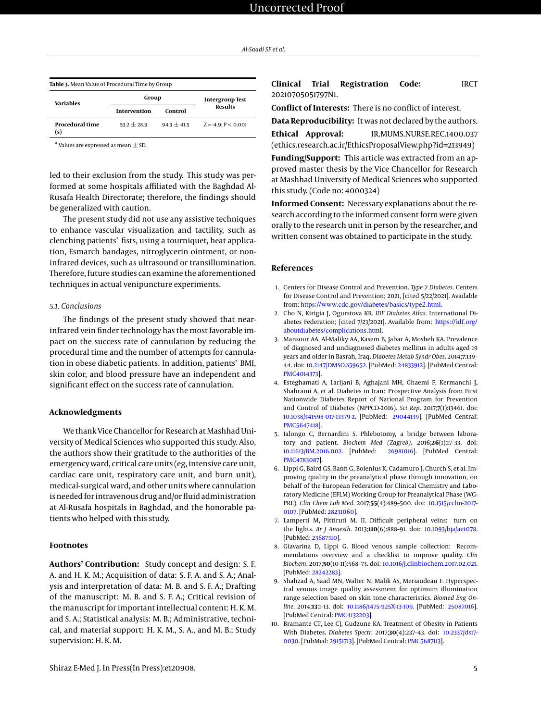<span id="page-4-10"></span>

| Table 3. Mean Value of Procedural Time by Group |               |                        |                          |  |  |  |
|-------------------------------------------------|---------------|------------------------|--------------------------|--|--|--|
| Variables                                       | Group         | <b>Intergroup Test</b> |                          |  |  |  |
|                                                 | Intervention  | Control                | <b>Results</b>           |  |  |  |
| <b>Procedural time</b><br>(s)                   | $53.2 + 28.9$ | $94.3 + 41.5$          | $Z = -4.9$ : $P < 0.001$ |  |  |  |

 $^{\rm a}$  Values are expressed as mean  $\pm$  SD.

led to their exclusion from the study. This study was performed at some hospitals affiliated with the Baghdad Al-Rusafa Health Directorate; therefore, the findings should be generalized with caution.

The present study did not use any assistive techniques to enhance vascular visualization and tactility, such as clenching patients' fists, using a tourniquet, heat application, Esmarch bandages, nitroglycerin ointment, or noninfrared devices, such as ultrasound or transillumination. Therefore, future studies can examine the aforementioned techniques in actual venipuncture experiments.

#### *5.1. Conclusions*

The findings of the present study showed that nearinfrared vein finder technology has the most favorable impact on the success rate of cannulation by reducing the procedural time and the number of attempts for cannulation in obese diabetic patients. In addition, patients' BMI, skin color, and blood pressure have an independent and significant effect on the success rate of cannulation.

## **Acknowledgments**

We thank Vice Chancellor for Research at Mashhad University of Medical Sciences who supported this study. Also, the authors show their gratitude to the authorities of the emergency ward, critical care units (eg, intensive care unit, cardiac care unit, respiratory care unit, and burn unit), medical-surgical ward, and other units where cannulation is needed for intravenous drug and/or fluid administration at Al-Rusafa hospitals in Baghdad, and the honorable patients who helped with this study.

#### **Footnotes**

**Authors' Contribution:** Study concept and design: S. F. A. and H. K. M.; Acquisition of data: S. F. A. and S. A.; Analysis and interpretation of data: M. B. and S. F. A.; Drafting of the manuscript: M. B. and S. F. A.; Critical revision of the manuscript for important intellectual content: H. K. M. and S. A.; Statistical analysis: M. B.; Administrative, technical, and material support: H. K. M., S. A., and M. B.; Study supervision: H. K. M.

**Conflict of Interests:** There is no conflict of interest.

**Data Reproducibility:** It was not declared by the authors. **Ethical Approval:** IR.MUMS.NURSE.REC.1400.037 (ethics.research.ac.ir/EthicsProposalView.php?id=213949)

**Funding/Support:** This article was extracted from an approved master thesis by the Vice Chancellor for Research at Mashhad University of Medical Sciences who supported this study. (Code no: 4000324)

**Informed Consent:** Necessary explanations about the research according to the informed consent form were given orally to the research unit in person by the researcher, and written consent was obtained to participate in the study.

# **References**

- <span id="page-4-0"></span>1. Centers for Disease Control and Prevention. *Type 2 Diabetes*. Centers for Disease Control and Prevention; 2021, [cited 5/22/2021]. Available from: <https://www.cdc.gov/diabetes/basics/type2.html>.
- <span id="page-4-1"></span>2. Cho N, Kirigia J, Ogurstova KR. *IDF Diabetes Atlas*. International Diabetes Federation; [cited 7/23/2021]. Available from: [https://idf.org/](https://idf.org/aboutdiabetes/complications.html) [aboutdiabetes/complications.html](https://idf.org/aboutdiabetes/complications.html).
- <span id="page-4-2"></span>3. Mansour AA, Al-Maliky AA, Kasem B, Jabar A, Mosbeh KA. Prevalence of diagnosed and undiagnosed diabetes mellitus in adults aged 19 years and older in Basrah, Iraq. *Diabetes Metab Syndr Obes*. 2014;**7**:139– 44. doi: [10.2147/DMSO.S59652.](http://dx.doi.org/10.2147/DMSO.S59652) [PubMed: [24833912\]](http://www.ncbi.nlm.nih.gov/pubmed/24833912). [PubMed Central: [PMC4014373\]](https://www.ncbi.nlm.nih.gov/pmc/articles/PMC4014373).
- <span id="page-4-3"></span>4. Esteghamati A, Larijani B, Aghajani MH, Ghaemi F, Kermanchi J, Shahrami A, et al. Diabetes in Iran: Prospective Analysis from First Nationwide Diabetes Report of National Program for Prevention and Control of Diabetes (NPPCD-2016). *Sci Rep*. 2017;**7**(1):13461. doi: [10.1038/s41598-017-13379-z.](http://dx.doi.org/10.1038/s41598-017-13379-z) [PubMed: [29044139\]](http://www.ncbi.nlm.nih.gov/pubmed/29044139). [PubMed Central: [PMC5647418\]](https://www.ncbi.nlm.nih.gov/pmc/articles/PMC5647418).
- <span id="page-4-4"></span>5. Ialongo C, Bernardini S. Phlebotomy, a bridge between laboratory and patient. *Biochem Med (Zagreb)*. 2016;**26**(1):17–33. doi: [10.11613/BM.2016.002.](http://dx.doi.org/10.11613/BM.2016.002) [PubMed: [26981016\]](http://www.ncbi.nlm.nih.gov/pubmed/26981016). [PubMed Central: [PMC4783087\]](https://www.ncbi.nlm.nih.gov/pmc/articles/PMC4783087).
- <span id="page-4-5"></span>6. Lippi G, Baird GS, Banfi G, Bolenius K, Cadamuro J, Church S, et al. Improving quality in the preanalytical phase through innovation, on behalf of the European Federation for Clinical Chemistry and Laboratory Medicine (EFLM) Working Group for Preanalytical Phase (WG-PRE). *Clin Chem Lab Med*. 2017;**55**(4):489–500. doi: [10.1515/cclm-2017-](http://dx.doi.org/10.1515/cclm-2017-0107) [0107.](http://dx.doi.org/10.1515/cclm-2017-0107) [PubMed: [28231060\]](http://www.ncbi.nlm.nih.gov/pubmed/28231060).
- <span id="page-4-6"></span>7. Lamperti M, Pittiruti M. II. Difficult peripheral veins: turn on the lights. *Br J Anaesth*. 2013;**110**(6):888–91. doi: [10.1093/bja/aet078.](http://dx.doi.org/10.1093/bja/aet078) [PubMed: [23687310\]](http://www.ncbi.nlm.nih.gov/pubmed/23687310).
- <span id="page-4-7"></span>8. Giavarina D, Lippi G. Blood venous sample collection: Recommendations overview and a checklist to improve quality. *Clin Biochem*. 2017;**50**(10-11):568–73. doi: [10.1016/j.clinbiochem.2017.02.021.](http://dx.doi.org/10.1016/j.clinbiochem.2017.02.021) [PubMed: [28242283\]](http://www.ncbi.nlm.nih.gov/pubmed/28242283).
- <span id="page-4-8"></span>9. Shahzad A, Saad MN, Walter N, Malik AS, Meriaudeau F. Hyperspectral venous image quality assessment for optimum illumination range selection based on skin tone characteristics. *Biomed Eng Online*. 2014;**13**:1–13. doi: [10.1186/1475-925X-13-109.](http://dx.doi.org/10.1186/1475-925X-13-109) [PubMed: [25087016\]](http://www.ncbi.nlm.nih.gov/pubmed/25087016). [PubMed Central: [PMC4132203\]](https://www.ncbi.nlm.nih.gov/pmc/articles/PMC4132203).
- <span id="page-4-9"></span>10. Bramante CT, Lee CJ, Gudzune KA. Treatment of Obesity in Patients With Diabetes. *Diabetes Spectr*. 2017;**30**(4):237–43. doi: [10.2337/ds17-](http://dx.doi.org/10.2337/ds17-0030) [0030.](http://dx.doi.org/10.2337/ds17-0030) [PubMed: [29151713\]](http://www.ncbi.nlm.nih.gov/pubmed/29151713). [PubMed Central: [PMC5687113\]](https://www.ncbi.nlm.nih.gov/pmc/articles/PMC5687113).